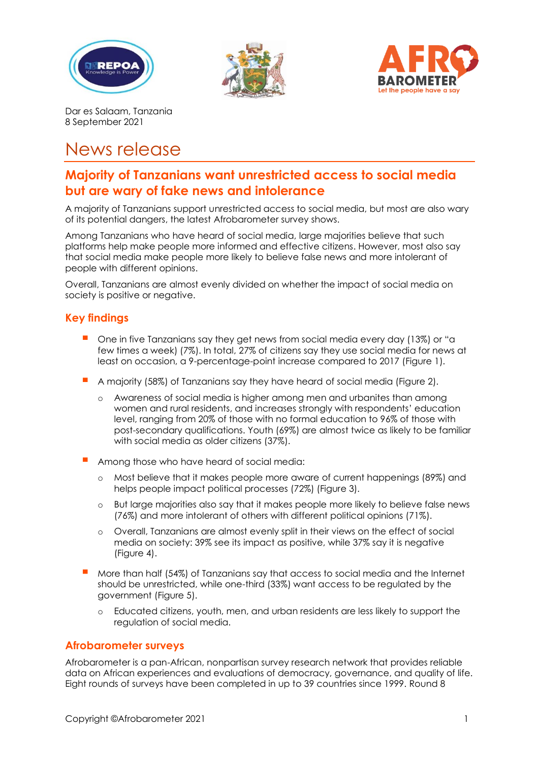





Dar es Salaam, Tanzania 8 September 2021

# News release

# **Majority of Tanzanians want unrestricted access to social media but are wary of fake news and intolerance**

A majority of Tanzanians support unrestricted access to social media, but most are also wary of its potential dangers, the latest Afrobarometer survey shows.

Among Tanzanians who have heard of social media, large majorities believe that such platforms help make people more informed and effective citizens. However, most also say that social media make people more likely to believe false news and more intolerant of people with different opinions.

Overall, Tanzanians are almost evenly divided on whether the impact of social media on society is positive or negative.

# **Key findings**

- One in five Tanzanians say they get news from social media every day (13%) or "a few times a week) (7%). In total, 27% of citizens say they use social media for news at least on occasion, a 9-percentage-point increase compared to 2017 (Figure 1).
- A majority (58%) of Tanzanians say they have heard of social media (Figure 2).
	- o Awareness of social media is higher among men and urbanites than among women and rural residents, and increases strongly with respondents' education level, ranging from 20% of those with no formal education to 96% of those with post-secondary qualifications. Youth (69%) are almost twice as likely to be familiar with social media as older citizens (37%).
- Among those who have heard of social media:
	- o Most believe that it makes people more aware of current happenings (89%) and helps people impact political processes (72%) (Figure 3).
	- o But large majorities also say that it makes people more likely to believe false news (76%) and more intolerant of others with different political opinions (71%).
	- o Overall, Tanzanians are almost evenly split in their views on the effect of social media on society: 39% see its impact as positive, while 37% say it is negative (Figure 4).
- More than half (54%) of Tanzanians say that access to social media and the Internet should be unrestricted, while one-third (33%) want access to be regulated by the government (Figure 5).
	- o Educated citizens, youth, men, and urban residents are less likely to support the regulation of social media.

# **Afrobarometer surveys**

Afrobarometer is a pan-African, nonpartisan survey research network that provides reliable data on African experiences and evaluations of democracy, governance, and quality of life. Eight rounds of surveys have been completed in up to 39 countries since 1999. Round 8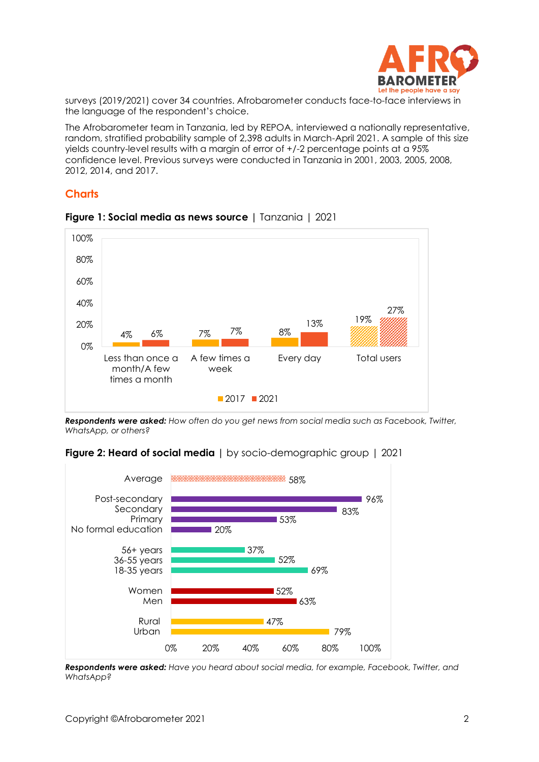

surveys (2019/2021) cover 34 countries. Afrobarometer conducts face-to-face interviews in the language of the respondent's choice.

The Afrobarometer team in Tanzania, led by REPOA, interviewed a nationally representative, random, stratified probability sample of 2,398 adults in March-April 2021. A sample of this size yields country-level results with a margin of error of +/-2 percentage points at a 95% confidence level. Previous surveys were conducted in Tanzania in 2001, 2003, 2005, 2008, 2012, 2014, and 2017.

# **Charts**



#### **Figure 1: Social media as news source |** Tanzania | 2021

*Respondents were asked: How often do you get news from social media such as Facebook, Twitter, WhatsApp, or others?*

#### **Figure 2: Heard of social media** I by socio-demographic group 1 2021



*Respondents were asked: Have you heard about social media, for example, Facebook, Twitter, and WhatsApp?*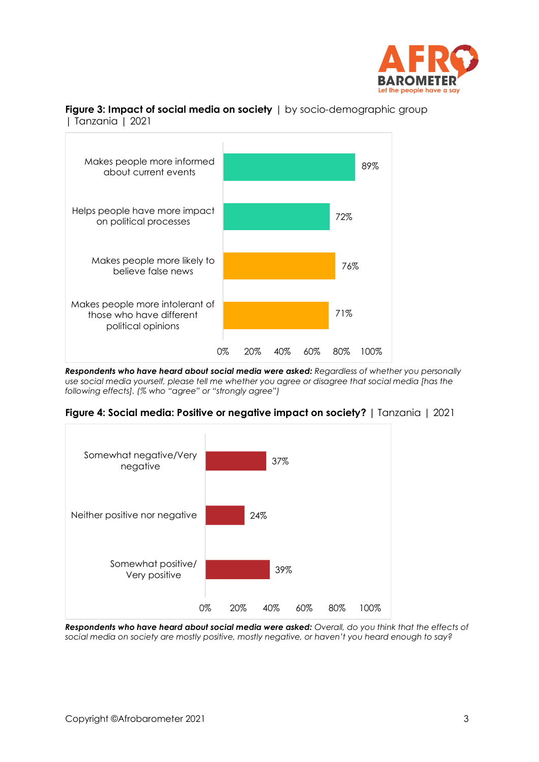

#### **Figure 3: Impact of social media on society** | by socio-demographic group | Tanzania | 2021



*Respondents who have heard about social media were asked: Regardless of whether you personally use social media yourself, please tell me whether you agree or disagree that social media [has the following effects]. (% who "agree" or "strongly agree")* 





*Respondents who have heard about social media were asked: Overall, do you think that the effects of social media on society are mostly positive, mostly negative, or haven't you heard enough to say?*